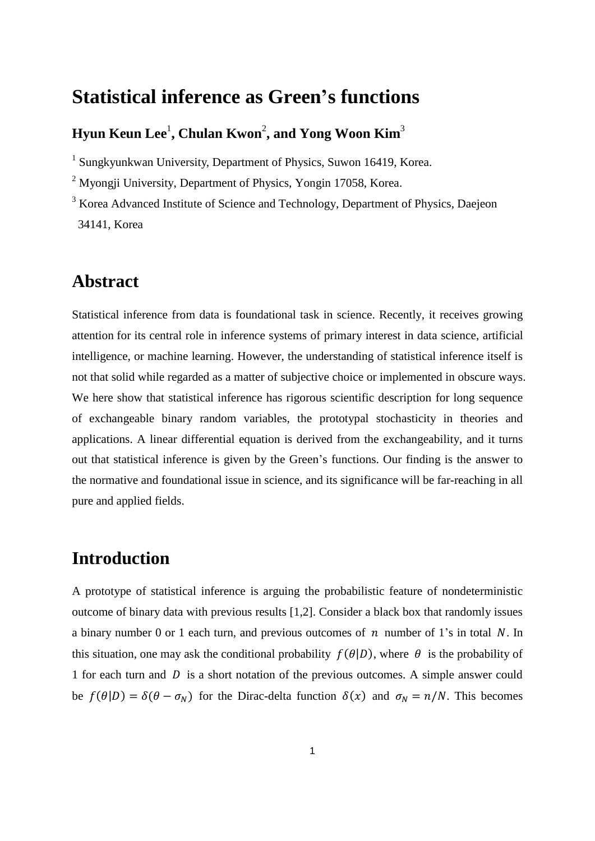# **Statistical inference as Green's functions**

## **Hyun Keun Lee**<sup>1</sup> **, Chulan Kwon**<sup>2</sup> **, and Yong Woon Kim**<sup>3</sup>

<sup>1</sup> Sungkyunkwan University, Department of Physics, Suwon 16419, Korea.

<sup>2</sup> Myongji University, Department of Physics, Yongin 17058, Korea.

<sup>3</sup> Korea Advanced Institute of Science and Technology, Department of Physics, Daejeon 34141, Korea

## **Abstract**

Statistical inference from data is foundational task in science. Recently, it receives growing attention for its central role in inference systems of primary interest in data science, artificial intelligence, or machine learning. However, the understanding of statistical inference itself is not that solid while regarded as a matter of subjective choice or implemented in obscure ways. We here show that statistical inference has rigorous scientific description for long sequence of exchangeable binary random variables, the prototypal stochasticity in theories and applications. A linear differential equation is derived from the exchangeability, and it turns out that statistical inference is given by the Green's functions. Our finding is the answer to the normative and foundational issue in science, and its significance will be far-reaching in all pure and applied fields.

## **Introduction**

A prototype of statistical inference is arguing the probabilistic feature of nondeterministic outcome of binary data with previous results [1,2]. Consider a black box that randomly issues a binary number 0 or 1 each turn, and previous outcomes of  $n$  number of 1's in total N. In this situation, one may ask the conditional probability  $f(\theta|D)$ , where  $\theta$  is the probability of 1 for each turn and  $D$  is a short notation of the previous outcomes. A simple answer could be  $f(\theta|D) = \delta(\theta - \sigma_N)$  for the Dirac-delta function  $\delta(x)$  and  $\sigma_N = n/N$ . This becomes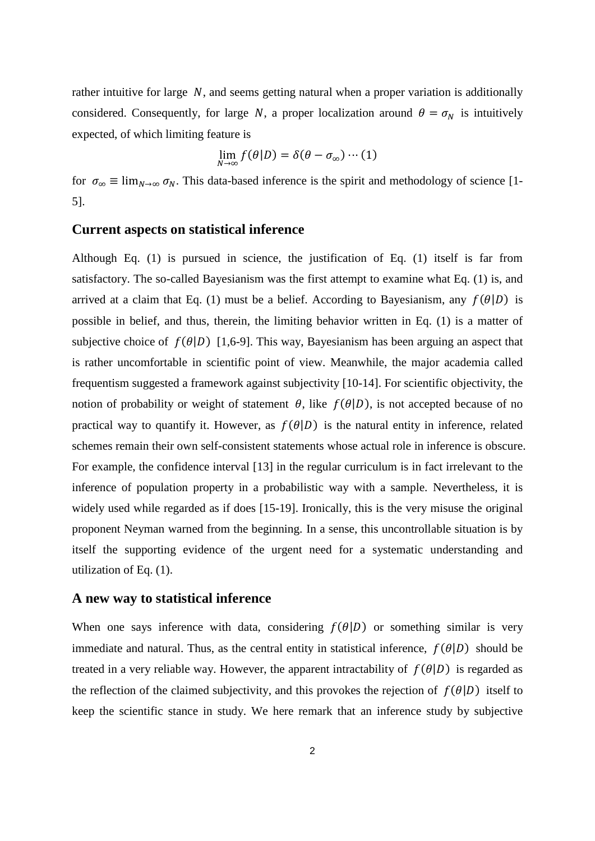rather intuitive for large  $N$ , and seems getting natural when a proper variation is additionally considered. Consequently, for large N, a proper localization around  $\theta = \sigma_N$  is intuitively expected, of which limiting feature is

$$
\lim_{N\to\infty} f(\theta|D) = \delta(\theta - \sigma_{\infty}) \cdots (1)
$$

for  $\sigma_{\infty} \equiv \lim_{N \to \infty} \sigma_N$ . This data-based inference is the spirit and methodology of science [1-5].

#### **Current aspects on statistical inference**

Although Eq. (1) is pursued in science, the justification of Eq. (1) itself is far from satisfactory. The so-called Bayesianism was the first attempt to examine what Eq. (1) is, and arrived at a claim that Eq. (1) must be a belief. According to Bayesianism, any  $f(\theta|D)$  is possible in belief, and thus, therein, the limiting behavior written in Eq. (1) is a matter of subjective choice of  $f(\theta|D)$  [1,6-9]. This way, Bayesianism has been arguing an aspect that is rather uncomfortable in scientific point of view. Meanwhile, the major academia called frequentism suggested a framework against subjectivity [10-14]. For scientific objectivity, the notion of probability or weight of statement  $\theta$ , like  $f(\theta|D)$ , is not accepted because of no practical way to quantify it. However, as  $f(\theta|D)$  is the natural entity in inference, related schemes remain their own self-consistent statements whose actual role in inference is obscure. For example, the confidence interval [13] in the regular curriculum is in fact irrelevant to the inference of population property in a probabilistic way with a sample. Nevertheless, it is widely used while regarded as if does [15-19]. Ironically, this is the very misuse the original proponent Neyman warned from the beginning. In a sense, this uncontrollable situation is by itself the supporting evidence of the urgent need for a systematic understanding and utilization of Eq. (1).

#### **A new way to statistical inference**

When one says inference with data, considering  $f(\theta|D)$  or something similar is very immediate and natural. Thus, as the central entity in statistical inference,  $f(\theta|D)$  should be treated in a very reliable way. However, the apparent intractability of  $f(\theta|D)$  is regarded as the reflection of the claimed subjectivity, and this provokes the rejection of  $f(\theta|D)$  itself to keep the scientific stance in study. We here remark that an inference study by subjective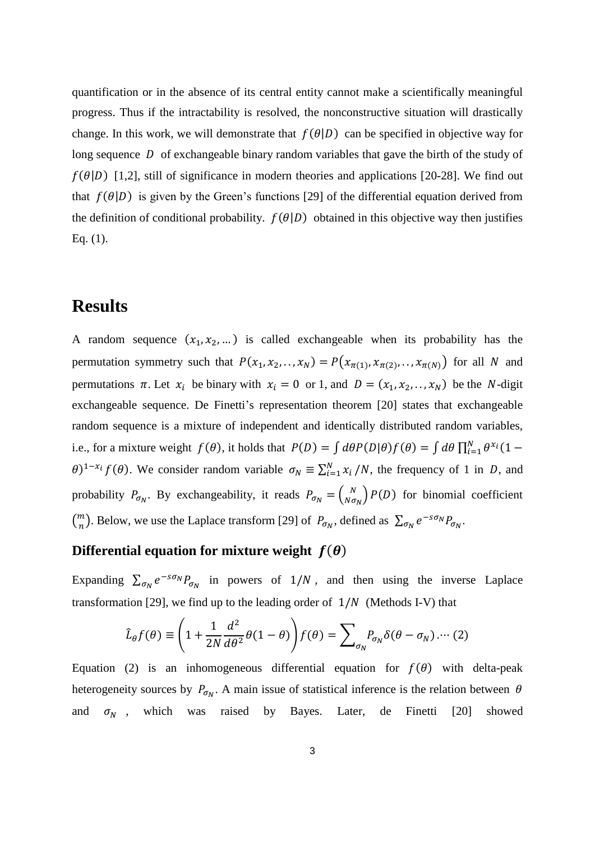quantification or in the absence of its central entity cannot make a scientifically meaningful progress. Thus if the intractability is resolved, the nonconstructive situation will drastically change. In this work, we will demonstrate that  $f(\theta|D)$  can be specified in objective way for long sequence  $D$  of exchangeable binary random variables that gave the birth of the study of  $f(\theta|D)$  [1,2], still of significance in modern theories and applications [20-28]. We find out that  $f(\theta|D)$  is given by the Green's functions [29] of the differential equation derived from the definition of conditional probability.  $f(\theta|D)$  obtained in this objective way then justifies Eq. (1).

## **Results**

A random sequence  $(x_1, x_2, ...)$  is called exchangeable when its probability has the permutation symmetry such that  $P(x_1, x_2, \ldots, x_N) = P(x_{\pi(1)}, x_{\pi(2)}, \ldots, x_{\pi(N)})$  for all N and permutations  $\pi$ . Let  $x_i$  be binary with  $x_i = 0$  or 1, and  $D = (x_1, x_2, \dots, x_N)$  be the *N*-digit exchangeable sequence. De Finetti's representation theorem [20] states that exchangeable random sequence is a mixture of independent and identically distributed random variables, i.e., for a mixture weight  $f(\theta)$ , it holds that  $P(D) = \int d\theta P(D|\theta) f(\theta) = \int d\theta \prod_{i=1}^{N} \theta^{x_i} (1 - \theta)^{x_i}$  $\theta$ )<sup>1-x<sub>i</sub></sup>  $f(\theta)$ . We consider random variable  $\sigma_N \equiv \sum_{i=1}^N x_i / N$ , the frequency of 1 in *D*, and probability  $P_{\sigma_N}$ . By exchangeability, it reads  $P_{\sigma_N} = \begin{pmatrix} N & N \\ N \sigma_N \end{pmatrix}$  $\binom{N}{N\sigma_N}$   $P(D)$  for binomial coefficient  $\binom{m}{n}$  $\binom{m}{n}$ . Below, we use the Laplace transform [29] of  $P_{\sigma_N}$ , defined as  $\sum_{\sigma_N} e^{-s\sigma_N} P_{\sigma_N}$ .

### **Differential equation for mixture weight**  $f(\theta)$

Expanding  $\sum_{\sigma_N} e^{-s\sigma_N} P_{\sigma_N}$  in powers of  $1/N$ , and then using the inverse Laplace transformation [29], we find up to the leading order of  $1/N$  (Methods I-V) that

$$
\hat{L}_{\theta}f(\theta) \equiv \left(1 + \frac{1}{2N} \frac{d^2}{d\theta^2} \theta(1 - \theta)\right) f(\theta) = \sum_{\sigma_N} P_{\sigma_N} \delta(\theta - \sigma_N) \cdots (2)
$$

Equation (2) is an inhomogeneous differential equation for  $f(\theta)$  with delta-peak heterogeneity sources by  $P_{\sigma_N}$ . A main issue of statistical inference is the relation between  $\theta$ and  $\sigma_N$ , which was raised by Bayes. Later, de Finetti [20] showed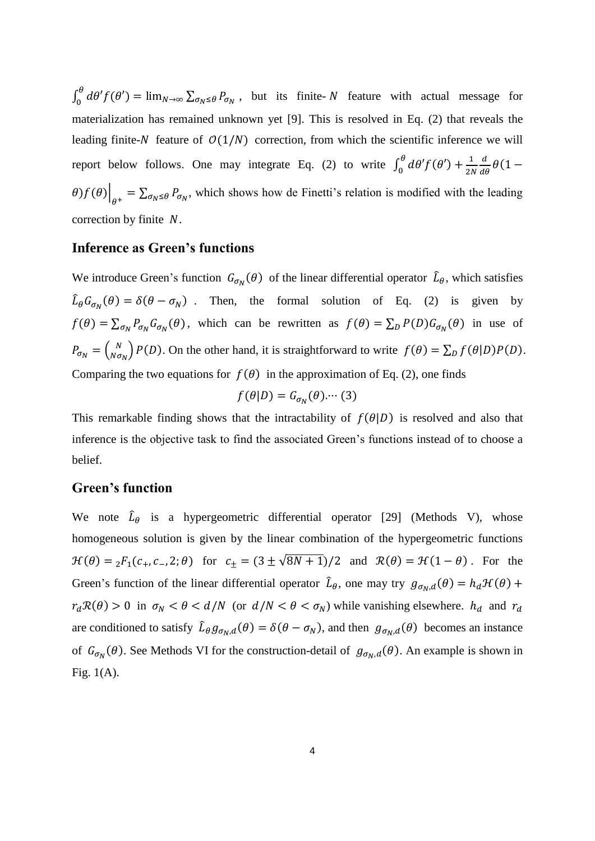$\int_0^\theta d\theta' f(\theta')$  $\int_0^{\infty} d\theta' f(\theta') = \lim_{N \to \infty} \sum_{\sigma_N \leq \theta} P_{\sigma_N}$ , but its finite-N feature with actual message for materialization has remained unknown yet [9]. This is resolved in Eq. (2) that reveals the leading finite-N feature of  $O(1/N)$  correction, from which the scientific inference we will report below follows. One may integrate Eq. (2) to write  $\int_0^{\theta} d\theta' f(\theta')$  $\int_0^\theta d\theta' f(\theta') + \frac{1}{2l}$ 2  $\frac{d}{d\theta}\theta(1 (\theta) f(\theta)|_{\theta^+} = \sum_{\sigma_N \leq \theta} P_{\sigma_N}$ , which shows how de Finetti's relation is modified with the leading correction by finite  $N$ .

### **Inference as Green's functions**

We introduce Green's function  $G_{\sigma_N}(\theta)$  of the linear differential operator  $\hat{L}_{\theta}$ , which satisfies  $\hat{L}_{\theta}G_{\sigma_N}(\theta) = \delta(\theta - \sigma_N)$ . Then, the formal solution of Eq. (2) is given by  $f(\theta) = \sum_{\sigma_N} P_{\sigma_N} G_{\sigma_N}(\theta)$ , which can be rewritten as  $f(\theta) = \sum_D P(D) G_{\sigma_N}(\theta)$  in use of  $P_{\sigma_N} = \begin{pmatrix} N \\ N\sigma \end{pmatrix}$  $\binom{N}{N\sigma_N} P(D)$ . On the other hand, it is straightforward to write  $f(\theta) = \sum_D f(\theta|D)P(D)$ . Comparing the two equations for  $f(\theta)$  in the approximation of Eq. (2), one finds

$$
f(\theta|D) = G_{\sigma_N}(\theta) \cdots (3)
$$

This remarkable finding shows that the intractability of  $f(\theta|D)$  is resolved and also that inference is the objective task to find the associated Green's functions instead of to choose a belief.

#### **Green's function**

We note  $\hat{L}_{\theta}$  is a hypergeometric differential operator [29] (Methods V), whose homogeneous solution is given by the linear combination of the hypergeometric functions  $\mathcal{H}(\theta) = {}_2F_1(c_+, c_-, 2; \theta)$  for  $c_{\pm} = (3 \pm \sqrt{8N+1})/2$  and  $\mathcal{R}(\theta) = \mathcal{H}(1-\theta)$ . For the Green's function of the linear differential operator  $\hat{L}_{\theta}$ , one may try  $g_{\sigma_N, d}(\theta) = h_d \mathcal{H}(\theta) +$  $r_d \mathcal{R}(\theta) > 0$  in  $\sigma_N < \theta < d/N$  (or  $d/N < \theta < \sigma_N$ ) while vanishing elsewhere.  $h_d$  and  $r_d$ are conditioned to satisfy  $\hat{L}_{\theta}g_{\sigma_N,d}(\theta) = \delta(\theta - \sigma_N)$ , and then  $g_{\sigma_N,d}(\theta)$  becomes an instance of  $G_{\sigma_N}(\theta)$ . See Methods VI for the construction-detail of  $g_{\sigma_N,d}(\theta)$ . An example is shown in Fig. 1(A).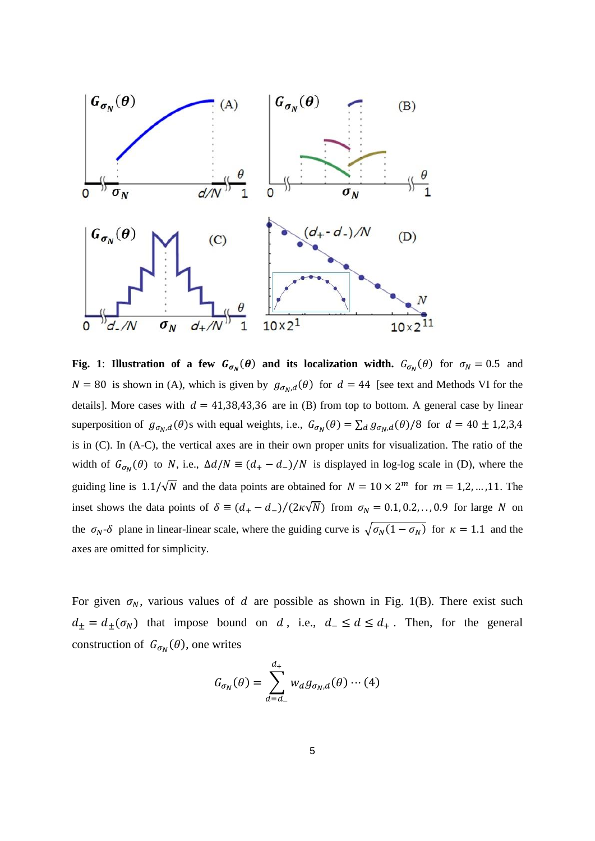

**Fig.** 1: **Illustration of a few**  $G_{\sigma_N}(\theta)$  **and its localization width.**  $G_{\sigma_N}(\theta)$  for  $\sigma_N = 0.5$  and  $N = 80$  is shown in (A), which is given by  $g_{\sigma_N,d}(\theta)$  for  $d = 44$  [see text and Methods VI for the details]. More cases with  $d = 41,38,43,36$  are in (B) from top to bottom. A general case by linear superposition of  $g_{\sigma_N,d}(\theta)$ s with equal weights, i.e.,  $G_{\sigma_N}(\theta) = \sum_d g_{\sigma_N,d}(\theta)/8$  for  $d = 40 \pm 1,2,3,4$ is in (C). In (A-C), the vertical axes are in their own proper units for visualization. The ratio of the width of  $G_{\sigma_N}(\theta)$  to N, i.e.,  $\Delta d/N \equiv (d_+ - d_-)/N$  is displayed in log-log scale in (D), where the guiding line is  $1.1/\sqrt{N}$  and the data points are obtained for  $N = 10 \times 2^m$  for  $m = 1, 2, ..., 11$ . The inset shows the data points of  $\delta \equiv (d_+ - d_-)/(2\kappa\sqrt{N})$  from  $\sigma_N = 0.1, 0.2, \ldots, 0.9$  for large N on the  $\sigma_N$ - $\delta$  plane in linear-linear scale, where the guiding curve is  $\sqrt{\sigma_N(1 - \sigma_N)}$  for  $\kappa = 1.1$  and the axes are omitted for simplicity.

For given  $\sigma_N$ , various values of d are possible as shown in Fig. 1(B). There exist such  $d_{\pm} = d_{\pm}(\sigma_N)$  that impose bound on d, i.e.,  $d_{-} \leq d \leq d_{+}$ . Then, for the general construction of  $G_{\sigma_N}(\theta)$ , one writes

$$
G_{\sigma_N}(\theta) = \sum_{d=d_-}^{d_+} w_d g_{\sigma_N, d}(\theta) \cdots (4)
$$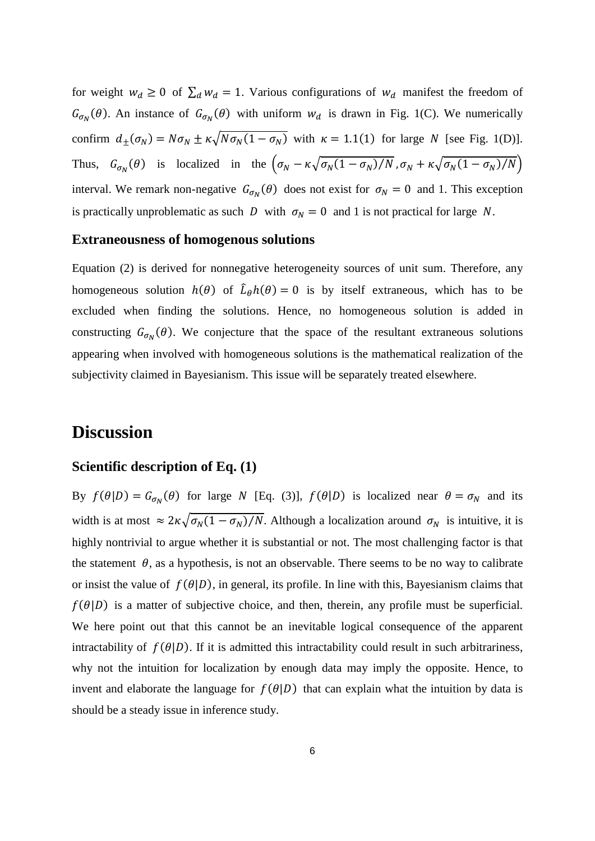for weight  $w_d \ge 0$  of  $\sum_d w_d = 1$ . Various configurations of  $w_d$  manifest the freedom of  $G_{\sigma_N}(\theta)$ . An instance of  $G_{\sigma_N}(\theta)$  with uniform  $w_d$  is drawn in Fig. 1(C). We numerically confirm  $d_{\pm}(\sigma_N) = N \sigma_N \pm \kappa \sqrt{N \sigma_N (1 - \sigma_N)}$  with  $\kappa = 1.1(1)$  for large N [see Fig. 1(D)]. Thus,  $G_{\sigma_N}(\theta)$  is localized in the  $(\sigma_N - \kappa \sqrt{\sigma_N(1 - \sigma_N)/N}, \sigma_N + \kappa \sqrt{\sigma_N(1 - \sigma_N)/N})$ interval. We remark non-negative  $G_{\sigma_N}(\theta)$  does not exist for  $\sigma_N = 0$  and 1. This exception is practically unproblematic as such D with  $\sigma_N = 0$  and 1 is not practical for large N.

#### **Extraneousness of homogenous solutions**

Equation (2) is derived for nonnegative heterogeneity sources of unit sum. Therefore, any homogeneous solution  $h(\theta)$  of  $\hat{L}_{\theta}h(\theta) = 0$  is by itself extraneous, which has to be excluded when finding the solutions. Hence, no homogeneous solution is added in constructing  $G_{\sigma_N}(\theta)$ . We conjecture that the space of the resultant extraneous solutions appearing when involved with homogeneous solutions is the mathematical realization of the subjectivity claimed in Bayesianism. This issue will be separately treated elsewhere.

## **Discussion**

### **Scientific description of Eq. (1)**

By  $f(\theta|D) = G_{\sigma_N}(\theta)$  for large N [Eq. (3)],  $f(\theta|D)$  is localized near  $\theta = \sigma_N$  and its width is at most  $\approx 2\kappa\sqrt{\sigma_N(1-\sigma_N)/N}$ . Although a localization around  $\sigma_N$  is intuitive, it is highly nontrivial to argue whether it is substantial or not. The most challenging factor is that the statement  $\theta$ , as a hypothesis, is not an observable. There seems to be no way to calibrate or insist the value of  $f(\theta|D)$ , in general, its profile. In line with this, Bayesianism claims that  $f(\theta|D)$  is a matter of subjective choice, and then, therein, any profile must be superficial. We here point out that this cannot be an inevitable logical consequence of the apparent intractability of  $f(\theta|D)$ . If it is admitted this intractability could result in such arbitrariness, why not the intuition for localization by enough data may imply the opposite. Hence, to invent and elaborate the language for  $f(\theta|D)$  that can explain what the intuition by data is should be a steady issue in inference study.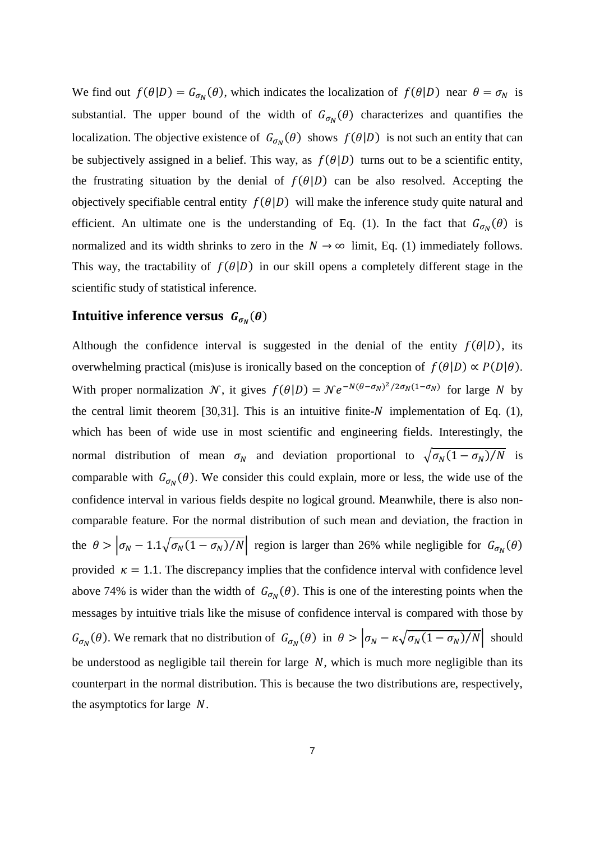We find out  $f(\theta|D) = G_{\sigma_N}(\theta)$ , which indicates the localization of  $f(\theta|D)$  near  $\theta = \sigma_N$  is substantial. The upper bound of the width of  $G_{\sigma_N}(\theta)$  characterizes and quantifies the localization. The objective existence of  $G_{\sigma_N}(\theta)$  shows  $f(\theta|D)$  is not such an entity that can be subjectively assigned in a belief. This way, as  $f(\theta|D)$  turns out to be a scientific entity, the frustrating situation by the denial of  $f(\theta|D)$  can be also resolved. Accepting the objectively specifiable central entity  $f(\theta|D)$  will make the inference study quite natural and efficient. An ultimate one is the understanding of Eq. (1). In the fact that  $G_{\sigma_N}(\theta)$  is normalized and its width shrinks to zero in the  $N \to \infty$  limit, Eq. (1) immediately follows. This way, the tractability of  $f(\theta|D)$  in our skill opens a completely different stage in the scientific study of statistical inference.

## **Intuitive inference versus**  $G_{\sigma_N}(\theta)$

Although the confidence interval is suggested in the denial of the entity  $f(\theta|D)$ , its overwhelming practical (mis)use is ironically based on the conception of  $f(\theta|D) \propto P(D|\theta)$ . With proper normalization N, it gives  $f(\theta|D) = N e^{-N(\theta - \sigma_N)^2/2\sigma_N(1 - \sigma_N)}$  for large N by the central limit theorem [30,31]. This is an intuitive finite- $N$  implementation of Eq. (1), which has been of wide use in most scientific and engineering fields. Interestingly, the normal distribution of mean  $\sigma_N$  and deviation proportional to  $\sqrt{\sigma_N(1 - \sigma_N)/N}$  is comparable with  $G_{\sigma_N}(\theta)$ . We consider this could explain, more or less, the wide use of the confidence interval in various fields despite no logical ground. Meanwhile, there is also noncomparable feature. For the normal distribution of such mean and deviation, the fraction in the  $\theta > |\sigma_N - 1.1\sqrt{\sigma_N(1-\sigma_N)/N}|$  region is larger than 26% while negligible for  $G_{\sigma_N}(\theta)$ provided  $\kappa = 1.1$ . The discrepancy implies that the confidence interval with confidence level above 74% is wider than the width of  $G_{\sigma_N}(\theta)$ . This is one of the interesting points when the messages by intuitive trials like the misuse of confidence interval is compared with those by  $G_{\sigma_N}(\theta)$ . We remark that no distribution of  $G_{\sigma_N}(\theta)$  in  $\theta > |\sigma_N - \kappa \sqrt{\sigma_N(1 - \sigma_N)/N}|$  should be understood as negligible tail therein for large  $N$ , which is much more negligible than its counterpart in the normal distribution. This is because the two distributions are, respectively, the asymptotics for large  $N$ .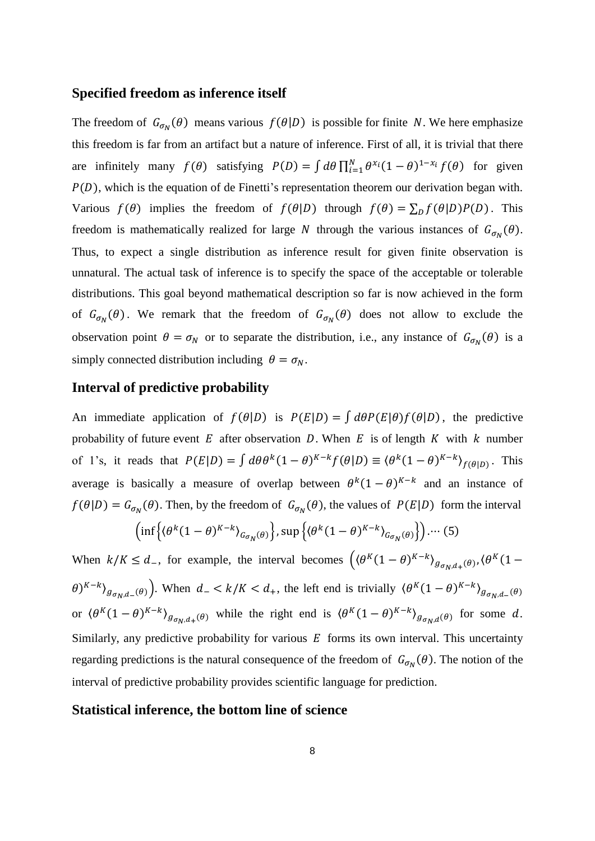#### **Specified freedom as inference itself**

The freedom of  $G_{\sigma_N}(\theta)$  means various  $f(\theta|D)$  is possible for finite N. We here emphasize this freedom is far from an artifact but a nature of inference. First of all, it is trivial that there are infinitely many  $f(\theta)$  satisfying  $P(D) = \int d\theta \prod_{i=1}^{N} \theta^{x_i} (1-\theta)^{1-x_i} f(\theta)$  for given  $P(D)$ , which is the equation of de Finetti's representation theorem our derivation began with. Various  $f(\theta)$  implies the freedom of  $f(\theta|D)$  through  $f(\theta) = \sum_D f(\theta|D)P(D)$ . This freedom is mathematically realized for large N through the various instances of  $G_{\sigma_N}(\theta)$ . Thus, to expect a single distribution as inference result for given finite observation is unnatural. The actual task of inference is to specify the space of the acceptable or tolerable distributions. This goal beyond mathematical description so far is now achieved in the form of  $G_{\sigma_N}(\theta)$ . We remark that the freedom of  $G_{\sigma_N}(\theta)$  does not allow to exclude the observation point  $\theta = \sigma_N$  or to separate the distribution, i.e., any instance of  $G_{\sigma_N}(\theta)$  is a simply connected distribution including  $\theta = \sigma_N$ .

### **Interval of predictive probability**

An immediate application of  $f(\theta|D)$  is  $P(E|D) = \int d\theta P(E|\theta) f(\theta|D)$ , the predictive probability of future event  $E$  after observation  $D$ . When  $E$  is of length  $K$  with  $k$  number of 1's, it reads that  $P(E|D) = \int d\theta \theta^k (1-\theta)^{K-k} f(\theta|D) \equiv \langle \theta^k (1-\theta)^{K-k} \rangle_{f(\theta|D)}$ . This average is basically a measure of overlap between  $\theta^k(1-\theta)^{K-k}$  and an instance of  $f(\theta|D) = G_{\sigma_N}(\theta)$ . Then, by the freedom of  $G_{\sigma_N}(\theta)$ , the values of  $P(E|D)$  form the interval

$$
\left(\inf\left\{\left(\theta^k(1-\theta)^{K-k}\right)_{G_{\sigma_N}(\theta)}\right\},\sup\left\{\left(\theta^k(1-\theta)^{K-k}\right)_{G_{\sigma_N}(\theta)}\right\}\right)\cdots(5)
$$

When  $k/K \leq d_{-}$ , for example, the interval becomes  $((\theta^{K}(1-\theta)^{K-k})_{g_{\sigma_N,d_{+}}(\theta)}, (\theta^{K}(1-\theta)^{K-k}))_{g_{\sigma_N,d_{+}}(\theta)}$  $(\theta)^{K-k}$  $\big|_{g_{\sigma_N,d_-}(\theta)}$ . When  $d_- < k/K < d_+$ , the left end is trivially  $(\theta^K(1-\theta)^{K-k})_{g_{\sigma_N,d_-}(\theta)}$ or  $(\theta^K(1-\theta)^{K-k})_{g_{\sigma_N,d_+}(\theta)}$  while the right end is  $(\theta^K(1-\theta)^{K-k})_{g_{\sigma_N,d}(\theta)}$  for some d. Similarly, any predictive probability for various  $E$  forms its own interval. This uncertainty regarding predictions is the natural consequence of the freedom of  $G_{\sigma_N}(\theta)$ . The notion of the interval of predictive probability provides scientific language for prediction.

#### **Statistical inference, the bottom line of science**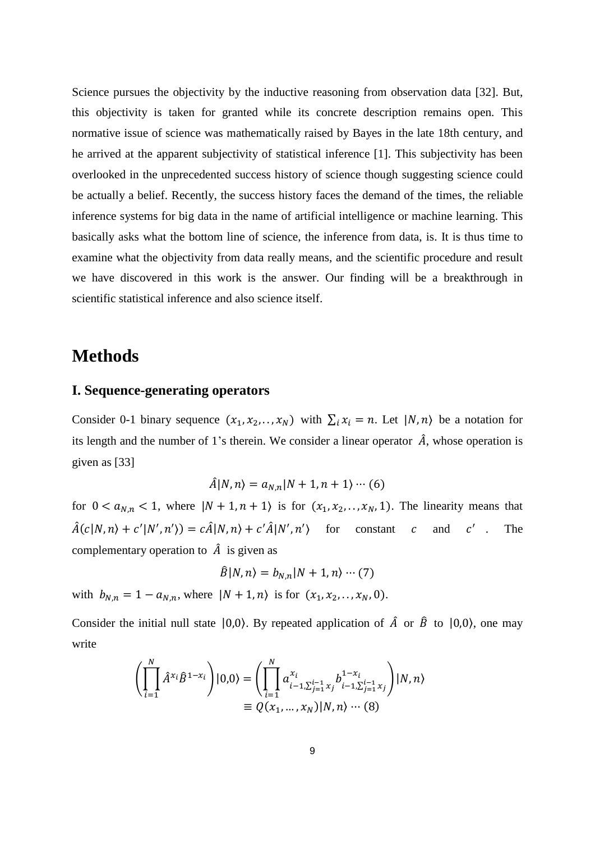Science pursues the objectivity by the inductive reasoning from observation data [32]. But, this objectivity is taken for granted while its concrete description remains open. This normative issue of science was mathematically raised by Bayes in the late 18th century, and he arrived at the apparent subjectivity of statistical inference [1]. This subjectivity has been overlooked in the unprecedented success history of science though suggesting science could be actually a belief. Recently, the success history faces the demand of the times, the reliable inference systems for big data in the name of artificial intelligence or machine learning. This basically asks what the bottom line of science, the inference from data, is. It is thus time to examine what the objectivity from data really means, and the scientific procedure and result we have discovered in this work is the answer. Our finding will be a breakthrough in scientific statistical inference and also science itself.

## **Methods**

### **I. Sequence-generating operators**

Consider 0-1 binary sequence  $(x_1, x_2, \ldots, x_N)$  with  $\sum_i x_i = n$ . Let  $|N, n\rangle$  be a notation for its length and the number of 1's therein. We consider a linear operator  $\hat{A}$ , whose operation is given as [33]

$$
\hat{A}|N,n\rangle = a_{N,n}|N+1,n+1\rangle \cdots (6)
$$

for  $0 < a_{N,n} < 1$ , where  $|N + 1, n + 1\rangle$  is for  $(x_1, x_2, \ldots, x_N, 1)$ . The linearity means that  $\hat{A}(c|N,n\rangle + c'|N',n') = c\hat{A}|N,n\rangle + c'\hat{A}|N',n'\rangle$  for constant c and c'. The complementary operation to  $\hat{A}$  is given as

$$
\hat{B}|N,n\rangle = b_{N,n}|N+1,n\rangle \cdots (7)
$$

with  $b_{N,n} = 1 - a_{N,n}$ , where  $|N + 1, n\rangle$  is for  $(x_1, x_2, \dots, x_N, 0)$ .

Consider the initial null state  $|0,0\rangle$ . By repeated application of  $\hat{A}$  or  $\hat{B}$  to  $|0,0\rangle$ , one may write

$$
\left(\prod_{i=1}^{N} \hat{A}^{x_i} \hat{B}^{1-x_i}\right)|0,0\rangle = \left(\prod_{i=1}^{N} a_{i-1,\sum_{j=1}^{i-1} x_j}^{x_i} b_{i-1,\sum_{j=1}^{i-1} x_j}^{1-x_i}\right)|N,n\rangle
$$
  

$$
\equiv Q(x_1,...,x_N)|N,n\rangle \cdots (8)
$$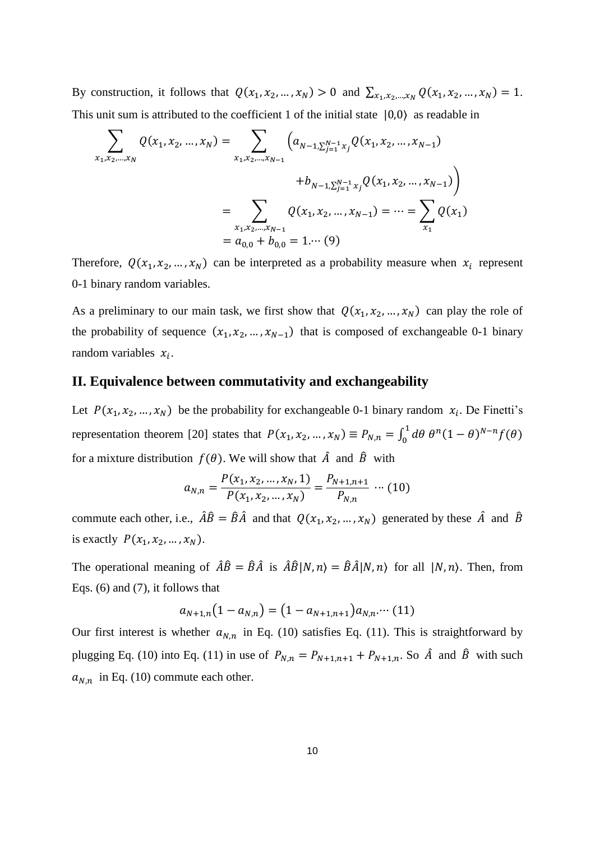By construction, it follows that  $Q(x_1, x_2, ..., x_N) > 0$  and  $\sum_{x_1, x_2, ..., x_N} Q(x_1, x_2, ..., x_N) = 1$ . This unit sum is attributed to the coefficient 1 of the initial state |0,0⟩ as readable in

$$
\sum_{x_1, x_2, \dots, x_N} Q(x_1, x_2, \dots, x_N) = \sum_{x_1, x_2, \dots, x_{N-1}} \left( a_{N-1, \sum_{j=1}^{N-1} x_j} Q(x_1, x_2, \dots, x_{N-1}) \right)
$$
  
\n
$$
+ b_{N-1, \sum_{j=1}^{N-1} x_j} Q(x_1, x_2, \dots, x_{N-1})
$$
  
\n
$$
= \sum_{x_1, x_2, \dots, x_{N-1}} Q(x_1, x_2, \dots, x_{N-1}) = \dots = \sum_{x_1} Q(x_1)
$$
  
\n
$$
= a_{0,0} + b_{0,0} = 1 \dots (9)
$$

Therefore,  $Q(x_1, x_2, ..., x_N)$  can be interpreted as a probability measure when  $x_i$  represent 0-1 binary random variables.

As a preliminary to our main task, we first show that  $Q(x_1, x_2, ..., x_N)$  can play the role of the probability of sequence  $(x_1, x_2, ..., x_{N-1})$  that is composed of exchangeable 0-1 binary random variables  $x_i$ .

#### **II. Equivalence between commutativity and exchangeability**

Let  $P(x_1, x_2, ..., x_N)$  be the probability for exchangeable 0-1 binary random  $x_i$ . De Finetti's representation theorem [20] states that  $P(x_1, x_2, ..., x_N) \equiv P_{N,n} = \int_0^1 d\theta \, \theta^n (1-\theta)^{N-n} f(\theta)$ 0 for a mixture distribution  $f(\theta)$ . We will show that  $\hat{A}$  and  $\hat{B}$  with

$$
a_{N,n} = \frac{P(x_1, x_2, \dots, x_N, 1)}{P(x_1, x_2, \dots, x_N)} = \frac{P_{N+1,n+1}}{P_{N,n}} \cdots (10)
$$

commute each other, i.e.,  $\hat{A}\hat{B} = \hat{B}\hat{A}$  and that  $Q(x_1, x_2, ..., x_N)$  generated by these  $\hat{A}$  and  $\hat{B}$ is exactly  $P(x_1, x_2, ..., x_N)$ .

The operational meaning of  $\hat{A}\hat{B} = \hat{B}\hat{A}$  is  $\hat{A}\hat{B}|N,n\rangle = \hat{B}\hat{A}|N,n\rangle$  for all  $|N,n\rangle$ . Then, from Eqs. (6) and (7), it follows that

$$
a_{N+1,n}(1-a_{N,n})=(1-a_{N+1,n+1})a_{N,n} \cdots (11)
$$

Our first interest is whether  $a_{N,n}$  in Eq. (10) satisfies Eq. (11). This is straightforward by plugging Eq. (10) into Eq. (11) in use of  $P_{N,n} = P_{N+1,n+1} + P_{N+1,n}$ . So  $\hat{A}$  and  $\hat{B}$  with such  $a_{N,n}$  in Eq. (10) commute each other.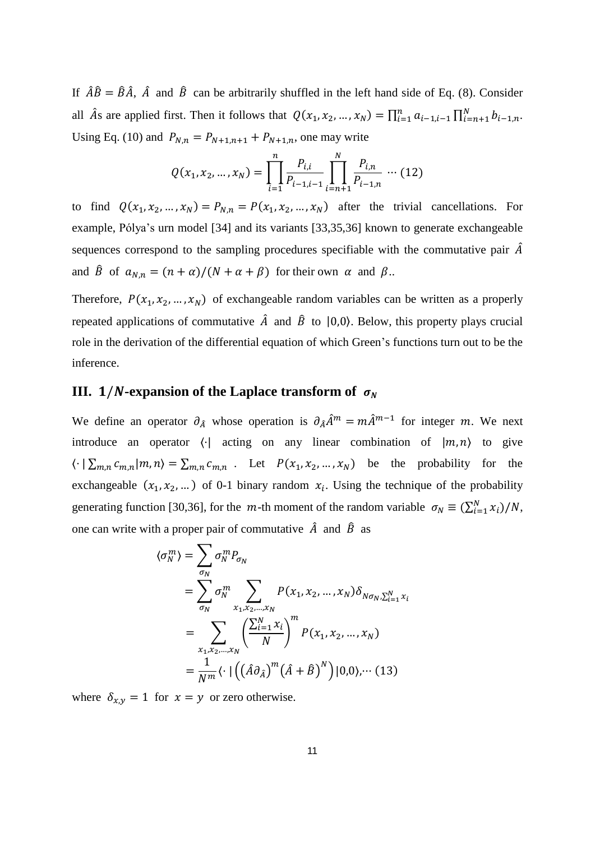If  $\hat{A}\hat{B} = \hat{B}\hat{A}$ ,  $\hat{A}$  and  $\hat{B}$  can be arbitrarily shuffled in the left hand side of Eq. (8). Consider all  $\hat{A}$ s are applied first. Then it follows that  $Q(x_1, x_2, ..., x_N) = \prod_{i=1}^n a_{i-1,i-1} \prod_{i=n+1}^N b_{i-1,n}$ . Using Eq. (10) and  $P_{N,n} = P_{N+1,n+1} + P_{N+1,n}$ , one may write

$$
Q(x_1, x_2, ..., x_N) = \prod_{i=1}^{n} \frac{P_{i,i}}{P_{i-1,i-1}} \prod_{i=n+1}^{N} \frac{P_{i,n}}{P_{i-1,n}} \cdots (12)
$$

to find  $Q(x_1, x_2, ..., x_N) = P_{N,n} = P(x_1, x_2, ..., x_N)$  after the trivial cancellations. For example, Pólya's urn model [34] and its variants [33,35,36] known to generate exchangeable sequences correspond to the sampling procedures specifiable with the commutative pair  $\hat{A}$ and  $\hat{B}$  of  $a_{N,n} = (n + \alpha)/(N + \alpha + \beta)$  for their own  $\alpha$  and  $\beta$ ..

Therefore,  $P(x_1, x_2, ..., x_N)$  of exchangeable random variables can be written as a properly repeated applications of commutative  $\hat{A}$  and  $\hat{B}$  to  $|0,0\rangle$ . Below, this property plays crucial role in the derivation of the differential equation of which Green's functions turn out to be the inference.

### **III. 1/***N***-expansion of the Laplace transform of**  $\sigma_N$

We define an operator  $\partial_{\hat{A}}$  whose operation is  $\partial_{\hat{A}}\hat{A}^m = m\hat{A}^{m-1}$  for integer m. We next introduce an operator  $\langle \cdot |$  acting on any linear combination of  $|m, n \rangle$  to give  $\langle \cdot | \sum_{m,n} c_{m,n} | m, n \rangle = \sum_{m,n} c_{m,n}$ . Let  $P(x_1, x_2, ..., x_N)$  be the probability for the exchangeable  $(x_1, x_2, ...)$  of 0-1 binary random  $x_i$ . Using the technique of the probability generating function [30,36], for the  $m$ -th moment of the random variable  $\sigma_N \equiv (\sum_{i=1}^N x_i)/N$ , one can write with a proper pair of commutative  $\hat{A}$  and  $\hat{B}$  as

$$
\langle \sigma_N^m \rangle = \sum_{\sigma_N} \sigma_N^m P_{\sigma_N}
$$
  
= 
$$
\sum_{\sigma_N} \sigma_N^m \sum_{x_1, x_2, \dots, x_N} P(x_1, x_2, \dots, x_N) \delta_{N \sigma_N, \sum_{i=1}^N x_i}
$$
  
= 
$$
\sum_{x_1, x_2, \dots, x_N} \left( \frac{\sum_{i=1}^N x_i}{N} \right)^m P(x_1, x_2, \dots, x_N)
$$
  
= 
$$
\frac{1}{N^m} \langle \cdot | ((\hat{A} \partial_{\hat{A}})^m (\hat{A} + \hat{B})^N) | 0, 0 \rangle, \dots (13)
$$

where  $\delta_{x,y} = 1$  for  $x = y$  or zero otherwise.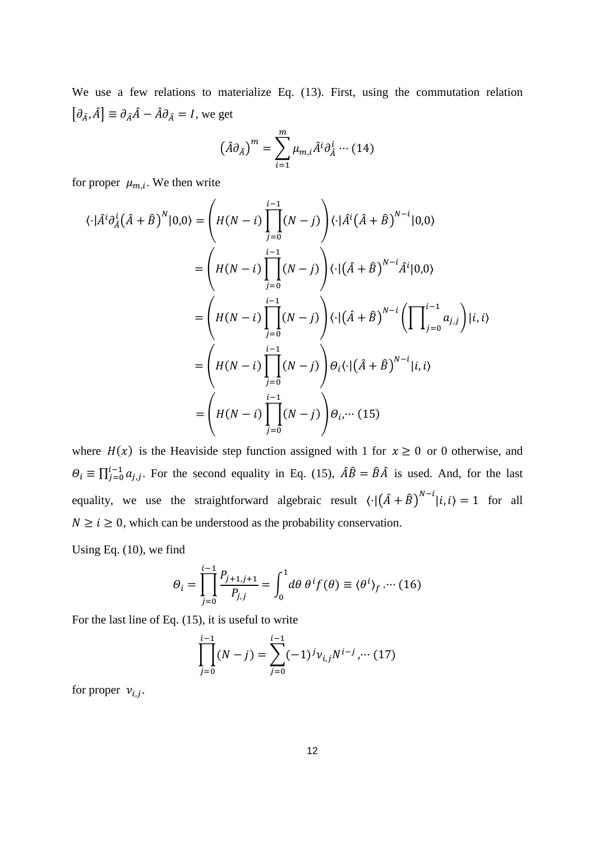We use a few relations to materialize Eq. (13). First, using the commutation relation  $[\partial_{\hat{A}}, \hat{A}] \equiv \partial_{\hat{A}} \hat{A} - \hat{A} \partial_{\hat{A}} = I$ , we get

$$
\left(\hat{A}\partial_{\hat{A}}\right)^m = \sum_{i=1}^m \mu_{m,i} \hat{A}^i \partial_{\hat{A}}^i \cdots (14)
$$

for proper  $\mu_{m,i}$ . We then write

$$
\langle \cdot | \hat{A}^i \partial_{\hat{A}}^i (\hat{A} + \hat{B})^N | 0, 0 \rangle = \left( H(N - i) \prod_{j=0}^{i-1} (N - j) \right) \langle \cdot | \hat{A}^i (\hat{A} + \hat{B})^{N - i} | 0, 0 \rangle
$$
  
\n
$$
= \left( H(N - i) \prod_{j=0}^{i-1} (N - j) \right) \langle \cdot | (\hat{A} + \hat{B})^{N - i} \hat{A}^i | 0, 0 \rangle
$$
  
\n
$$
= \left( H(N - i) \prod_{j=0}^{i-1} (N - j) \right) \langle \cdot | (\hat{A} + \hat{B})^{N - i} \left( \prod_{j=0}^{i-1} a_{j,j} \right) | i, i \rangle
$$
  
\n
$$
= \left( H(N - i) \prod_{j=0}^{i-1} (N - j) \right) \theta_i \langle \cdot | (\hat{A} + \hat{B})^{N - i} | i, i \rangle
$$
  
\n
$$
= \left( H(N - i) \prod_{j=0}^{i-1} (N - j) \right) \theta_i \langle \cdot | ( \hat{A} + \hat{B})^{N - i} | i, i \rangle
$$

where  $H(x)$  is the Heaviside step function assigned with 1 for  $x \ge 0$  or 0 otherwise, and  $\Theta_i \equiv \prod_{j=0}^{i-1} a_{j,j}$ . For the second equality in Eq. (15),  $\hat{A}\hat{B} = \hat{B}\hat{A}$  is used. And, for the last equality, we use the straightforward algebraic result  $\langle \cdot | (\hat{A} + \hat{B})^{N-i} | i, i \rangle = 1$  for all  $N \ge i \ge 0$ , which can be understood as the probability conservation.

Using Eq. (10), we find

$$
\Theta_i = \prod_{j=0}^{i-1} \frac{P_{j+1,j+1}}{P_{j,j}} = \int_0^1 d\theta \; \theta^i f(\theta) \equiv \langle \theta^i \rangle_f \cdots (16)
$$

For the last line of Eq. (15), it is useful to write

$$
\prod_{j=0}^{i-1} (N-j) = \sum_{j=0}^{i-1} (-1)^j \nu_{i,j} N^{i-j}, \cdots (17)
$$

for proper  $v_{i,j}$ .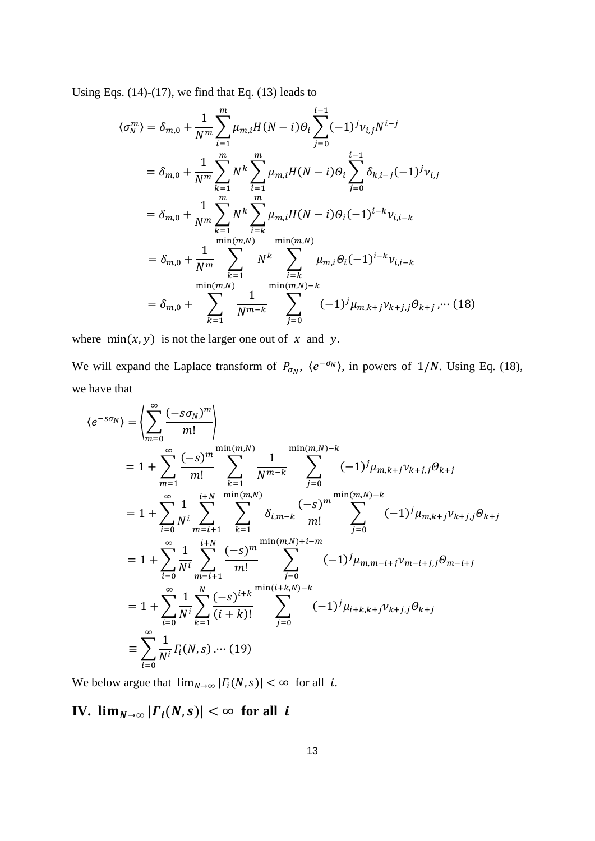Using Eqs. (14)-(17), we find that Eq. (13) leads to

$$
\langle \sigma_N^m \rangle = \delta_{m,0} + \frac{1}{N^m} \sum_{i=1}^m \mu_{m,i} H(N-i) \Theta_i \sum_{j=0}^{i-1} (-1)^j \nu_{i,j} N^{i-j}
$$
  
\n
$$
= \delta_{m,0} + \frac{1}{N^m} \sum_{k=1}^m N^k \sum_{i=1}^m \mu_{m,i} H(N-i) \Theta_i \sum_{j=0}^{i-1} \delta_{k,i-j} (-1)^j \nu_{i,j}
$$
  
\n
$$
= \delta_{m,0} + \frac{1}{N^m} \sum_{k=1}^m N^k \sum_{i=k}^m \mu_{m,i} H(N-i) \Theta_i (-1)^{i-k} \nu_{i,i-k}
$$
  
\n
$$
= \delta_{m,0} + \frac{1}{N^m} \sum_{k=1}^{\min(m,N)} N^k \sum_{i=k}^{\min(m,N)} \mu_{m,i} \Theta_i (-1)^{i-k} \nu_{i,i-k}
$$
  
\n
$$
= \delta_{m,0} + \sum_{k=1}^{\min(m,N)} \frac{1}{N^{m-k}} \sum_{j=0}^{\min(m,N)-k} (-1)^j \mu_{m,k+j} \nu_{k+j,j} \Theta_{k+j}, \dots (18)
$$

where  $min(x, y)$  is not the larger one out of  $x$  and  $y$ .

We will expand the Laplace transform of  $P_{\sigma_N}$ ,  $\langle e^{-\sigma_N} \rangle$ , in powers of 1/N. Using Eq. (18), we have that

$$
\langle e^{-s\sigma_N} \rangle = \left\langle \sum_{m=0}^{\infty} \frac{(-s\sigma_N)^m}{m!} \right\rangle
$$
  
\n
$$
= 1 + \sum_{m=1}^{\infty} \frac{(-s)^m}{m!} \sum_{k=1}^{\min(m,N)} \frac{1}{N^{m-k}} \sum_{j=0}^{\min(m,N)-k} (-1)^j \mu_{m,k+j} \nu_{k+j,j} \theta_{k+j}
$$
  
\n
$$
= 1 + \sum_{i=0}^{\infty} \frac{1}{N^i} \sum_{m=i+1}^{i+N} \sum_{k=1}^{\min(m,N)} \delta_{i,m-k} \frac{(-s)^m}{m!} \sum_{j=0}^{\min(m,N)-k} (-1)^j \mu_{m,k+j} \nu_{k+j,j} \theta_{k+j}
$$
  
\n
$$
= 1 + \sum_{i=0}^{\infty} \frac{1}{N^i} \sum_{m=i+1}^{i+N} \frac{(-s)^m}{m!} \sum_{j=0}^{\min(m,N)+i-m} (-1)^j \mu_{m,m-i+j} \nu_{m-i+j,j} \theta_{m-i+j}
$$
  
\n
$$
= 1 + \sum_{i=0}^{\infty} \frac{1}{N^i} \sum_{k=1}^N \frac{(-s)^{i+k}}{(i+k)!} \sum_{j=0}^{\min(i+k,N)-k} (-1)^j \mu_{i+k,k+j} \nu_{k+j,j} \theta_{k+j}
$$
  
\n
$$
\equiv \sum_{i=0}^{\infty} \frac{1}{N^i} \Gamma_i(N,s) \dots (19)
$$

We below argue that  $\lim_{N\to\infty} |I_i(N, s)| < \infty$  for all *i*.

**IV.**  $\lim_{N\to\infty} |r_i(N,s)| < \infty$  for all *i*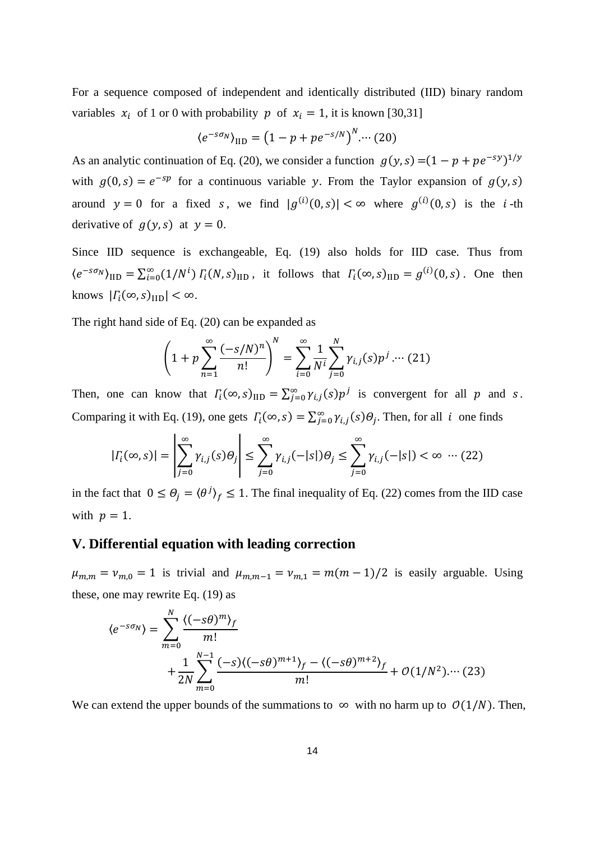For a sequence composed of independent and identically distributed (IID) binary random variables  $x_i$  of 1 or 0 with probability p of  $x_i = 1$ , it is known [30,31]

$$
\langle e^{-s\sigma_N}\rangle_{\text{IID}} = \left(1 - p + p e^{-s/N}\right)^N \cdots (20)
$$

As an analytic continuation of Eq. (20), we consider a function  $g(y, s) = (1 - p + pe^{-sy})^{1/y}$ with  $g(0, s) = e^{-sp}$  for a continuous variable y. From the Taylor expansion of  $g(y, s)$ around  $y = 0$  for a fixed s, we find  $|g^{(i)}(0, s)| < \infty$  where  $g^{(i)}(0, s)$  is the *i*-th derivative of  $q(y, s)$  at  $y = 0$ .

Since IID sequence is exchangeable, Eq. (19) also holds for IID case. Thus from  $\langle e^{-s\sigma_N}\rangle_{\text{IID}} = \sum_{i=0}^{\infty} (1/N^i) \Gamma_i(N, s)_{\text{IID}}$ , it follows that  $\Gamma_i(\infty, s)_{\text{IID}} = g^{(i)}(0, s)$ . One then knows  $|\Gamma_i(\infty, s)|_{\text{IID}}| < \infty$ .

The right hand side of Eq. (20) can be expanded as

$$
\left(1+p\sum_{n=1}^{\infty}\frac{(-s/N)^n}{n!}\right)^N = \sum_{i=0}^{\infty}\frac{1}{N^i}\sum_{j=0}^N\gamma_{i,j}(s)p^j\ldots (21)
$$

Then, one can know that  $\Gamma_i(\infty, s)_{\text{IID}} = \sum_{j=0}^{\infty} \gamma_{i,j}(s) p^j$  is convergent for all p and s. Comparing it with Eq. (19), one gets  $\Gamma_i(\infty, s) = \sum_{j=0}^{\infty} \gamma_{i,j}(s) \Theta_j$ . Then, for all *i* one finds

$$
|I_i(\infty, s)| = \left| \sum_{j=0}^{\infty} \gamma_{i,j}(s) \theta_j \right| \le \sum_{j=0}^{\infty} \gamma_{i,j}(-|s|) \theta_j \le \sum_{j=0}^{\infty} \gamma_{i,j}(-|s|) < \infty \quad \dots (22)
$$

in the fact that  $0 \le \Theta_j = \langle \theta^j \rangle_f \le 1$ . The final inequality of Eq. (22) comes from the IID case with  $p = 1$ .

### **V. Differential equation with leading correction**

 $\mu_{m,m} = \nu_{m,0} = 1$  is trivial and  $\mu_{m,m-1} = \nu_{m,1} = m(m-1)/2$  is easily arguable. Using these, one may rewrite Eq. (19) as

$$
\langle e^{-s\sigma_N} \rangle = \sum_{m=0}^{N} \frac{\langle (-s\theta)^m \rangle_f}{m!} + \frac{1}{2N} \sum_{m=0}^{N-1} \frac{(-s)\langle (-s\theta)^{m+1} \rangle_f - \langle (-s\theta)^{m+2} \rangle_f}{m!} + \mathcal{O}(1/N^2) \cdots (23)
$$

We can extend the upper bounds of the summations to  $\infty$  with no harm up to  $O(1/N)$ . Then,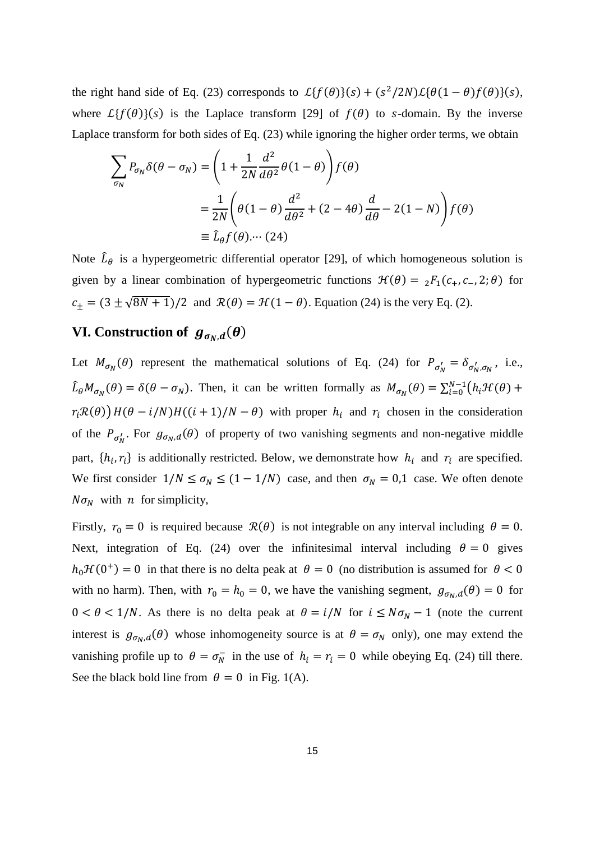the right hand side of Eq. (23) corresponds to  $\mathcal{L}{f(\theta)}(s) + (s^2/2N)\mathcal{L}{\theta(1-\theta)f(\theta)}(s)$ , where  $\mathcal{L}{f(\theta)}(s)$  is the Laplace transform [29] of  $f(\theta)$  to s-domain. By the inverse Laplace transform for both sides of Eq. (23) while ignoring the higher order terms, we obtain

$$
\sum_{\sigma_N} P_{\sigma_N} \delta(\theta - \sigma_N) = \left( 1 + \frac{1}{2N} \frac{d^2}{d\theta^2} \theta(1 - \theta) \right) f(\theta)
$$
  
= 
$$
\frac{1}{2N} \left( \theta(1 - \theta) \frac{d^2}{d\theta^2} + (2 - 4\theta) \frac{d}{d\theta} - 2(1 - N) \right) f(\theta)
$$
  

$$
\equiv \hat{L}_{\theta} f(\theta) \cdots (24)
$$

Note  $\hat{L}_{\theta}$  is a hypergeometric differential operator [29], of which homogeneous solution is given by a linear combination of hypergeometric functions  $\mathcal{H}(\theta) = {}_2F_1(c_+, c_-, 2; \theta)$  for  $c_{\pm} = (3 \pm \sqrt{8N+1})/2$  and  $\mathcal{R}(\theta) = \mathcal{H}(1-\theta)$ . Equation (24) is the very Eq. (2).

# **VI.** Construction of  $g_{\sigma_N,d}(\theta)$

Let  $M_{\sigma_N}(\theta)$  represent the mathematical solutions of Eq. (24) for  $P_{\sigma'_N} = \delta_{\sigma'_N, \sigma_N}$ , i.e.,  $\hat{L}_{\theta}M_{\sigma_N}(\theta) = \delta(\theta - \sigma_N)$ . Then, it can be written formally as  $M_{\sigma_N}(\theta) = \sum_{i=0}^{N-1} (h_i \mathcal{H}(\theta) +$  $r_i \mathcal{R}(\theta)$ )  $H(\theta - i/N)H((i + 1)/N - \theta)$  with proper  $h_i$  and  $r_i$  chosen in the consideration of the  $P_{\sigma_N'}$ . For  $g_{\sigma_N,d}(\theta)$  of property of two vanishing segments and non-negative middle part,  $\{h_i, r_i\}$  is additionally restricted. Below, we demonstrate how  $h_i$  and  $r_i$  are specified. We first consider  $1/N \le \sigma_N \le (1 - 1/N)$  case, and then  $\sigma_N = 0.1$  case. We often denote  $N\sigma_N$  with *n* for simplicity,

Firstly,  $r_0 = 0$  is required because  $\mathcal{R}(\theta)$  is not integrable on any interval including  $\theta = 0$ . Next, integration of Eq. (24) over the infinitesimal interval including  $\theta = 0$  gives  $h_0 \mathcal{H}(0^+) = 0$  in that there is no delta peak at  $\theta = 0$  (no distribution is assumed for  $\theta < 0$ with no harm). Then, with  $r_0 = h_0 = 0$ , we have the vanishing segment,  $g_{\sigma_N,d}(\theta) = 0$  for  $0 < \theta < 1/N$ . As there is no delta peak at  $\theta = i/N$  for  $i \leq N\sigma_N - 1$  (note the current interest is  $g_{\sigma_N, d}(\theta)$  whose inhomogeneity source is at  $\theta = \sigma_N$  only), one may extend the vanishing profile up to  $\theta = \sigma_N^-$  in the use of  $h_i = r_i = 0$  while obeying Eq. (24) till there. See the black bold line from  $\theta = 0$  in Fig. 1(A).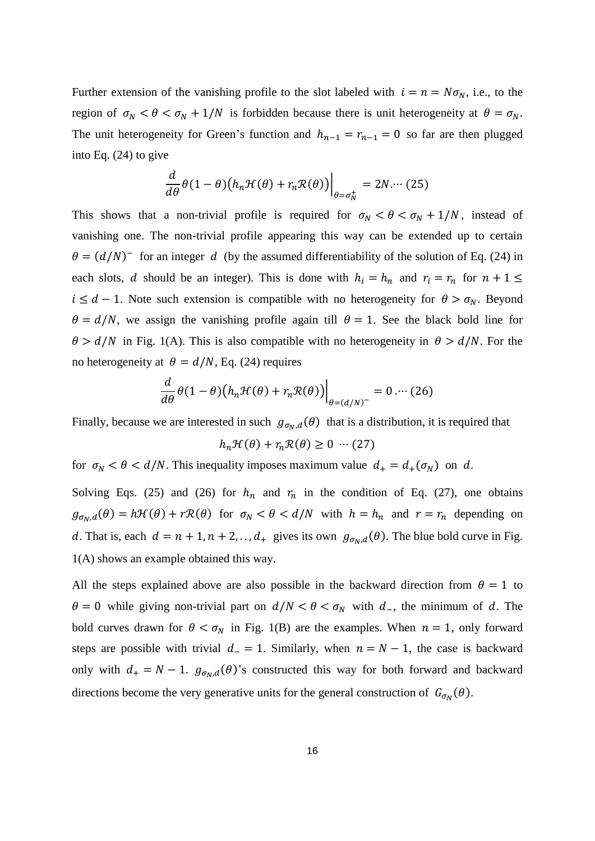Further extension of the vanishing profile to the slot labeled with  $i = n = N\sigma_N$ , i.e., to the region of  $\sigma_N < \theta < \sigma_N + 1/N$  is forbidden because there is unit heterogeneity at  $\theta = \sigma_N$ . The unit heterogeneity for Green's function and  $h_{n-1} = r_{n-1} = 0$  so far are then plugged into Eq. (24) to give

$$
\frac{d}{d\theta}\theta(1-\theta)\big(h_n\mathcal{H}(\theta)+r_n\mathcal{R}(\theta)\big)\Big|_{\theta=\sigma_N^+}=2N\cdots(25)
$$

This shows that a non-trivial profile is required for  $\sigma_N < \theta < \sigma_N + 1/N$ , instead of vanishing one. The non-trivial profile appearing this way can be extended up to certain  $\theta = (d/N)^{-1}$  for an integer d (by the assumed differentiability of the solution of Eq. (24) in each slots, *d* should be an integer). This is done with  $h_i = h_n$  and  $r_i = r_n$  for  $n + 1 \le$  $i \leq d - 1$ . Note such extension is compatible with no heterogeneity for  $\theta > \sigma_N$ . Beyond  $\theta = d/N$ , we assign the vanishing profile again till  $\theta = 1$ . See the black bold line for  $\theta > d/N$  in Fig. 1(A). This is also compatible with no heterogeneity in  $\theta > d/N$ . For the no heterogeneity at  $\theta = d/N$ , Eq. (24) requires

$$
\frac{d}{d\theta}\theta(1-\theta)\big(h_n\mathcal{H}(\theta)+r_n\mathcal{R}(\theta)\big)\bigg|_{\theta=(d/N)^-}=0\ldots(26)
$$

Finally, because we are interested in such  $g_{\sigma_N, d}(\theta)$  that is a distribution, it is required that

$$
h_n \mathcal{H}(\theta) + r_n \mathcal{R}(\theta) \ge 0 \quad (27)
$$

for  $\sigma_N < \theta < d/N$ . This inequality imposes maximum value  $d_+ = d_+(\sigma_N)$  on d.

Solving Eqs. (25) and (26) for  $h_n$  and  $r_n$  in the condition of Eq. (27), one obtains  $g_{\sigma_N,d}(\theta) = h\mathcal{H}(\theta) + r\mathcal{R}(\theta)$  for  $\sigma_N < \theta < d/N$  with  $h = h_n$  and  $r = r_n$  depending on d. That is, each  $d = n + 1, n + 2, \ldots, d_{+}$  gives its own  $g_{\sigma_N, d}(\theta)$ . The blue bold curve in Fig. 1(A) shows an example obtained this way.

All the steps explained above are also possible in the backward direction from  $\theta = 1$  to  $\theta = 0$  while giving non-trivial part on  $d/N < \theta < \sigma_N$  with  $d_{-}$ , the minimum of d. The bold curves drawn for  $\theta < \sigma_N$  in Fig. 1(B) are the examples. When  $n = 1$ , only forward steps are possible with trivial  $d = 1$ . Similarly, when  $n = N - 1$ , the case is backward only with  $d_+ = N - 1$ .  $g_{\sigma_N, d}(\theta)$ 's constructed this way for both forward and backward directions become the very generative units for the general construction of  $G_{\sigma_N}(\theta)$ .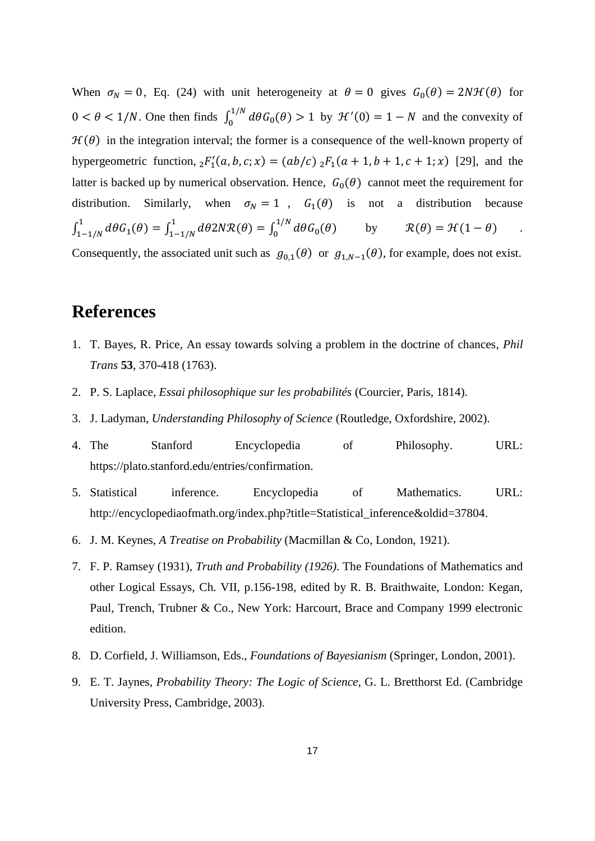When  $\sigma_N = 0$ , Eq. (24) with unit heterogeneity at  $\theta = 0$  gives  $G_0(\theta) = 2N\mathcal{H}(\theta)$  for  $0 < \theta < 1/N$ . One then finds  $\int_0^{1/N} d\theta G_0(\theta)$  $\int_0^{1/N} d\theta G_0(\theta) > 1$  by  $\mathcal{H}'(0) = 1 - N$  and the convexity of  $H(\theta)$  in the integration interval; the former is a consequence of the well-known property of hypergeometric function,  ${}_2F'_1(a, b, c; x) = (ab/c) {}_2F_1(a + 1, b + 1, c + 1; x)$  [29], and the latter is backed up by numerical observation. Hence,  $G_0(\theta)$  cannot meet the requirement for distribution. Similarly, when  $\sigma_N = 1$ ,  $G_1(\theta)$  is not a distribution because  $\int_{1-1/N}^{1} d\theta G_1(\theta)$  $\int_{1-1/N}^{1} d\theta G_1(\theta) = \int_{1-1/N}^{1} d\theta 2N \mathcal{R}(\theta)$ <sup>-1</sup><sub>1−1/N</sub> dθ2NR(θ) =  $\int_0^{1/N} d\theta G_0(\theta)$  $\int_0^{1/N} d\theta G_0(\theta)$  by  $\mathcal{R}(\theta) = \mathcal{H}(1-\theta)$  .

Consequently, the associated unit such as  $g_{0,1}(\theta)$  or  $g_{1,N-1}(\theta)$ , for example, does not exist.

# **References**

- 1. T. Bayes, R. Price, An essay towards solving a problem in the doctrine of chances, *Phil Trans* **53**, 370-418 (1763).
- 2. P. S. Laplace, *Essai philosophique sur les probabilités* (Courcier, Paris, 1814).
- 3. J. Ladyman, *Understanding Philosophy of Science* (Routledge, Oxfordshire, 2002).
- 4. The Stanford Encyclopedia of Philosophy. URL: https://plato.stanford.edu/entries/confirmation.
- 5. Statistical inference. Encyclopedia of Mathematics. URL: http://encyclopediaofmath.org/index.php?title=Statistical\_inference&oldid=37804.
- 6. J. M. Keynes, *A Treatise on Probability* (Macmillan & Co, London, 1921).
- 7. F. P. Ramsey (1931), *Truth and Probability (1926)*. The Foundations of Mathematics and other Logical Essays, Ch. VII, p.156-198, edited by R. B. Braithwaite, London: Kegan, Paul, Trench, Trubner & Co., New York: Harcourt, Brace and Company 1999 electronic edition.
- 8. D. Corfield, J. Williamson, Eds., *Foundations of Bayesianism* (Springer, London, 2001).
- 9. E. T. Jaynes, *Probability Theory: The Logic of Science*, G. L. Bretthorst Ed. (Cambridge University Press, Cambridge, 2003).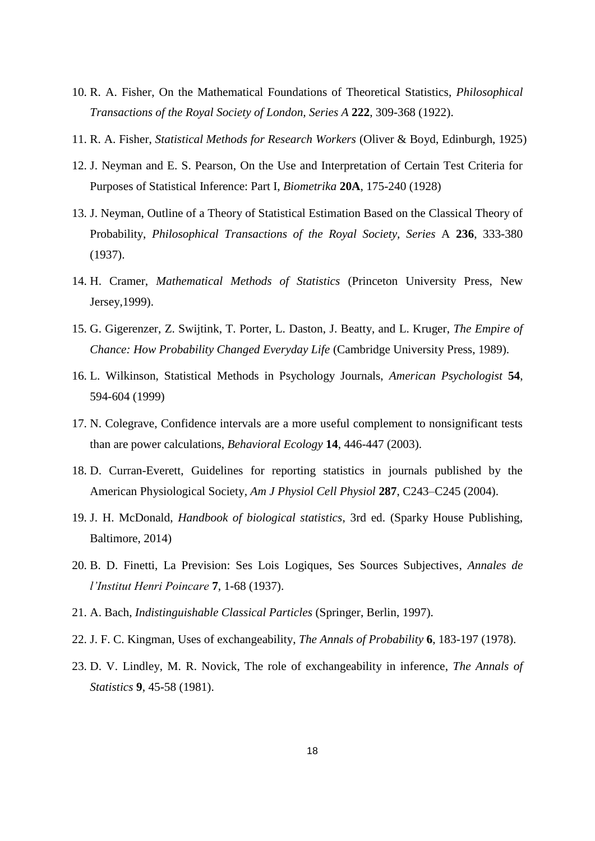- 10. R. A. Fisher, On the Mathematical Foundations of Theoretical Statistics, *Philosophical Transactions of the Royal Society of London, Series A* **222**, 309-368 (1922).
- 11. R. A. Fisher, *Statistical Methods for Research Workers* (Oliver & Boyd, Edinburgh, 1925)
- 12. J. Neyman and E. S. Pearson, On the Use and Interpretation of Certain Test Criteria for Purposes of Statistical Inference: Part I, *Biometrika* **20A**, 175-240 (1928)
- 13. J. Neyman, Outline of a Theory of Statistical Estimation Based on the Classical Theory of Probability, *Philosophical Transactions of the Royal Society, Series* A **236**, 333-380 (1937).
- 14. H. Cramer, *Mathematical Methods of Statistics* (Princeton University Press, New Jersey,1999).
- 15. G. Gigerenzer, Z. Swijtink, T. Porter, L. Daston, J. Beatty, and L. Kruger, *The Empire of Chance: How Probability Changed Everyday Life* (Cambridge University Press, 1989).
- 16. L. Wilkinson, Statistical Methods in Psychology Journals, *American Psychologist* **54**, 594-604 (1999)
- 17. N. Colegrave, Confidence intervals are a more useful complement to nonsignificant tests than are power calculations, *Behavioral Ecology* **14**, 446-447 (2003).
- 18. D. Curran-Everett, Guidelines for reporting statistics in journals published by the American Physiological Society, *Am J Physiol Cell Physiol* **287**, C243–C245 (2004).
- 19. J. H. McDonald, *Handbook of biological statistics*, 3rd ed. (Sparky House Publishing, Baltimore, 2014)
- 20. B. D. Finetti, La Prevision: Ses Lois Logiques, Ses Sources Subjectives, *Annales de l'Institut Henri Poincare* **7**, 1-68 (1937).
- 21. A. Bach, *Indistinguishable Classical Particles* (Springer, Berlin, 1997).
- 22. J. F. C. Kingman, Uses of exchangeability, *The Annals of Probability* **6**, 183-197 (1978).
- 23. D. V. Lindley, M. R. Novick, The role of exchangeability in inference, *The Annals of Statistics* **9**, 45-58 (1981).